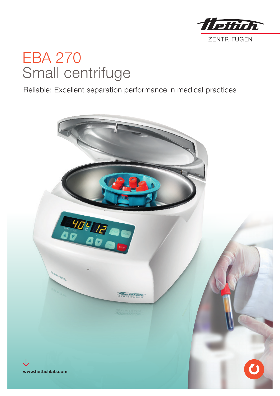

# EBA 270 Small centrifuge

Reliable: Excellent separation performance in medical practices

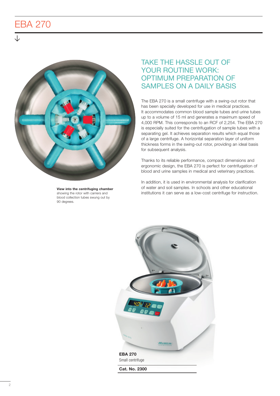## EBA 270



View into the centrifuging chamber showing the rotor with carriers and blood collection tubes swung out by 90 degrees.

### TAKE THE HASSLE OUT OF YOUR ROUTINE WORK: OPTIMUM PREPARATION OF SAMPLES ON A DAILY BASIS

The EBA 270 is a small centrifuge with a swing-out rotor that has been specially developed for use in medical practices. It accommodates common blood sample tubes and urine tubes up to a volume of 15 ml and generates a maximum speed of 4,000 RPM. This corresponds to an RCF of 2,254. The EBA 270 is especially suited for the centrifugation of sample tubes with a separating gel. It achieves separation results which equal those of a large centrifuge. A horizontal separation layer of uniform thickness forms in the swing-out rotor, providing an ideal basis for subsequent analysis.

Thanks to its reliable performance, compact dimensions and ergonomic design, the EBA 270 is perfect for centrifugation of blood and urine samples in medical and veterinary practices.

In addition, it is used in environmental analysis for clarification of water and soil samples. In schools and other educational institutions it can serve as a low-cost centrifuge for instruction.

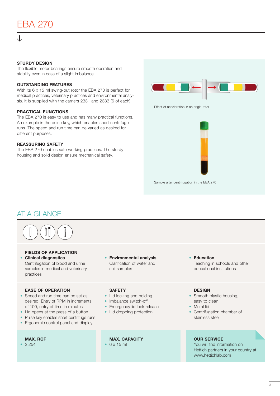# EBA 270

#### STURDY DESIGN

The flexible motor bearings ensure smooth operation and stability even in case of a slight imbalance.

#### OUTSTANDING FEATURES

With its 6 x 15 ml swing-out rotor the EBA 270 is perfect for medical practices, veterinary practices and environmental analysis. It is supplied with the carriers 2331 and 2333 (6 of each).

#### PRACTICAL FUNCTIONS

The EBA 270 is easy to use and has many practical functions. An example is the pulse key, which enables short centrifuge runs. The speed and run time can be varied as desired for different purposes.

#### REASSURING SAFETY

The EBA 270 enables safe working practices. The sturdy housing and solid design ensure mechanical safety.



Sample after centrifugation in the EBA 270

### AT A GLANCE



#### FIELDS OF APPLICATION

• Clinical diagnostics Centrifugation of blood and urine samples in medical and veterinary practices

#### EASE OF OPERATION

- Speed and run time can be set as desired: Entry of RPM in increments of 100, entry of time in minutes
- Lid opens at the press of a button
- Pulse key enables short centrifuge runs
- Ergonomic control panel and display

#### MAX. RCF

• 2,254

• Environmental analysis Clarification of water and soil samples

#### **SAFETY**

- Lid locking and holding
- Imbalance switch-off
- Emergency lid lock release
- Lid dropping protection

#### MAX. CAPACITY  $• 6 \times 15$  ml

educational institutions

Teaching in schools and other

#### **DESIGN**

• Education

- Smooth plastic housing, easy to clean
- Metal lid
- Centrifugation chamber of stainless steel

#### OUR SERVICE

You will find information on Hettich partners in your country at www.hettichlab.com